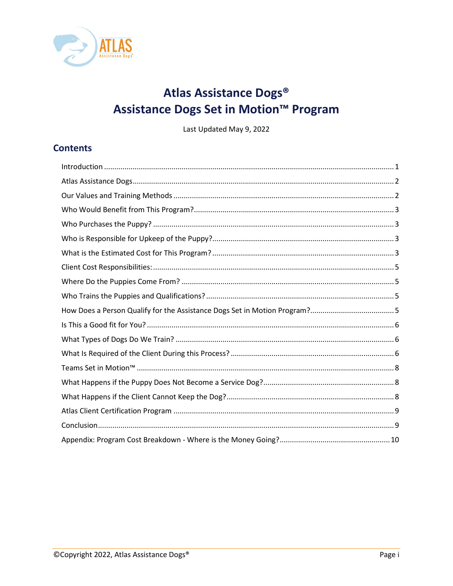

# Atlas Assistance Dogs® Assistance Dogs Set in Motion<sup>™</sup> Program

Last Updated May 9, 2022

### **Contents**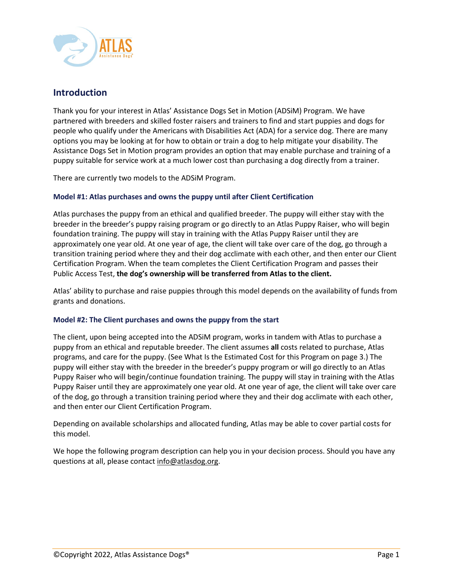

### <span id="page-1-0"></span>**Introduction**

Thank you for your interest in Atlas' Assistance Dogs Set in Motion (ADSiM) Program. We have partnered with breeders and skilled foster raisers and trainers to find and start puppies and dogs for people who qualify under the Americans with Disabilities Act (ADA) for a service dog. There are many options you may be looking at for how to obtain or train a dog to help mitigate your disability. The Assistance Dogs Set in Motion program provides an option that may enable purchase and training of a puppy suitable for service work at a much lower cost than purchasing a dog directly from a trainer.

There are currently two models to the ADSiM Program.

### **Model #1: Atlas purchases and owns the puppy until after Client Certification**

Atlas purchases the puppy from an ethical and qualified breeder. The puppy will either stay with the breeder in the breeder's puppy raising program or go directly to an Atlas Puppy Raiser, who will begin foundation training. The puppy will stay in training with the Atlas Puppy Raiser until they are approximately one year old. At one year of age, the client will take over care of the dog, go through a transition training period where they and their dog acclimate with each other, and then enter our Client Certification Program. When the team completes the Client Certification Program and passes their Public Access Test, **the dog's ownership will be transferred from Atlas to the client.** 

Atlas' ability to purchase and raise puppies through this model depends on the availability of funds from grants and donations.

### **Model #2: The Client purchases and owns the puppy from the start**

The client, upon being accepted into the ADSiM program, works in tandem with Atlas to purchase a puppy from an ethical and reputable breeder. The client assumes **all** costs related to purchase, Atlas programs, and care for the puppy. (See What Is the Estimated Cost for this Program on page [3.](#page-3-3)) The puppy will either stay with the breeder in the breeder's puppy program or will go directly to an Atlas Puppy Raiser who will begin/continue foundation training. The puppy will stay in training with the Atlas Puppy Raiser until they are approximately one year old. At one year of age, the client will take over care of the dog, go through a transition training period where they and their dog acclimate with each other, and then enter our Client Certification Program.

Depending on available scholarships and allocated funding, Atlas may be able to cover partial costs for this model.

We hope the following program description can help you in your decision process. Should you have any questions at all, please contact info@atlasdog.org.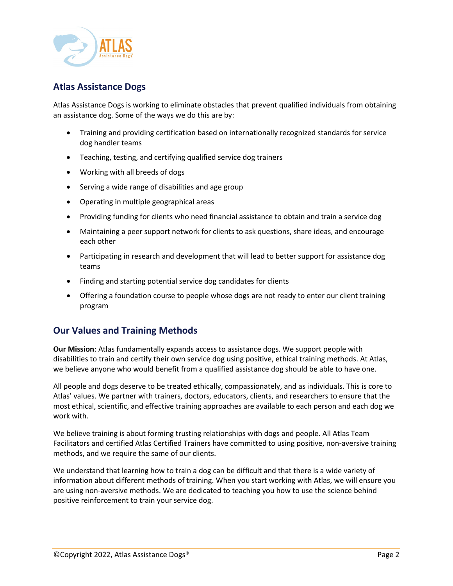

# <span id="page-2-0"></span>**Atlas Assistance Dogs**

Atlas Assistance Dogs is working to eliminate obstacles that prevent qualified individuals from obtaining an assistance dog. Some of the ways we do this are by:

- Training and providing certification based on internationally recognized standards for service dog handler teams
- Teaching, testing, and certifying qualified service dog trainers
- Working with all breeds of dogs
- Serving a wide range of disabilities and age group
- Operating in multiple geographical areas
- Providing funding for clients who need financial assistance to obtain and train a service dog
- Maintaining a peer support network for clients to ask questions, share ideas, and encourage each other
- Participating in research and development that will lead to better support for assistance dog teams
- Finding and starting potential service dog candidates for clients
- Offering a foundation course to people whose dogs are not ready to enter our client training program

### <span id="page-2-1"></span>**Our Values and Training Methods**

**Our Mission**: Atlas fundamentally expands access to assistance dogs. We support people with disabilities to train and certify their own service dog using positive, ethical training methods. At Atlas, we believe anyone who would benefit from a qualified assistance dog should be able to have one.

All people and dogs deserve to be treated ethically, compassionately, and as individuals. This is core to Atlas' values. We partner with trainers, doctors, educators, clients, and researchers to ensure that the most ethical, scientific, and effective training approaches are available to each person and each dog we work with.

We believe training is about forming trusting relationships with dogs and people. All Atlas Team Facilitators and certified Atlas Certified Trainers have committed to using positive, non-aversive training methods, and we require the same of our clients.

We understand that learning how to train a dog can be difficult and that there is a wide variety of information about different methods of training. When you start working with Atlas, we will ensure you are using non-aversive methods. We are dedicated to teaching you how to use the science behind positive reinforcement to train your service dog.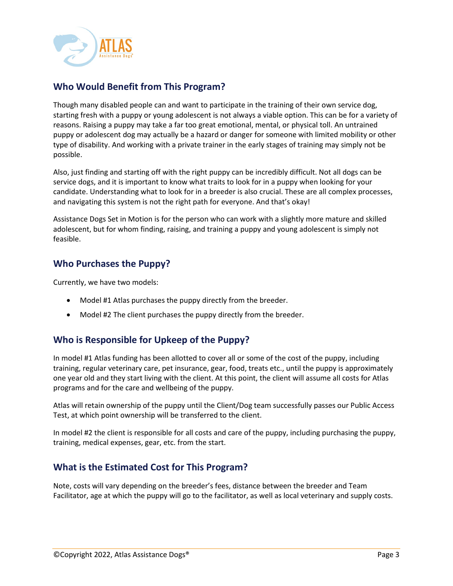

# <span id="page-3-0"></span>**Who Would Benefit from This Program?**

Though many disabled people can and want to participate in the training of their own service dog, starting fresh with a puppy or young adolescent is not always a viable option. This can be for a variety of reasons. Raising a puppy may take a far too great emotional, mental, or physical toll. An untrained puppy or adolescent dog may actually be a hazard or danger for someone with limited mobility or other type of disability. And working with a private trainer in the early stages of training may simply not be possible.

Also, just finding and starting off with the right puppy can be incredibly difficult. Not all dogs can be service dogs, and it is important to know what traits to look for in a puppy when looking for your candidate. Understanding what to look for in a breeder is also crucial. These are all complex processes, and navigating this system is not the right path for everyone. And that's okay!

Assistance Dogs Set in Motion is for the person who can work with a slightly more mature and skilled adolescent, but for whom finding, raising, and training a puppy and young adolescent is simply not feasible.

### <span id="page-3-1"></span>**Who Purchases the Puppy?**

Currently, we have two models:

- Model #1 Atlas purchases the puppy directly from the breeder.
- Model #2 The client purchases the puppy directly from the breeder.

### <span id="page-3-2"></span>**Who is Responsible for Upkeep of the Puppy?**

In model #1 Atlas funding has been allotted to cover all or some of the cost of the puppy, including training, regular veterinary care, pet insurance, gear, food, treats etc., until the puppy is approximately one year old and they start living with the client. At this point, the client will assume all costs for Atlas programs and for the care and wellbeing of the puppy.

Atlas will retain ownership of the puppy until the Client/Dog team successfully passes our Public Access Test, at which point ownership will be transferred to the client.

In model #2 the client is responsible for all costs and care of the puppy, including purchasing the puppy, training, medical expenses, gear, etc. from the start.

# <span id="page-3-3"></span>**What is the Estimated Cost for This Program?**

Note, costs will vary depending on the breeder's fees, distance between the breeder and Team Facilitator, age at which the puppy will go to the facilitator, as well as local veterinary and supply costs.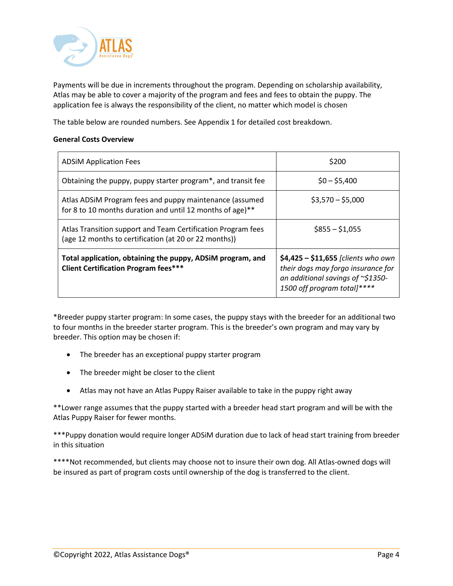

Payments will be due in increments throughout the program. Depending on scholarship availability, Atlas may be able to cover a majority of the program and fees and fees to obtain the puppy. The application fee is always the responsibility of the client, no matter which model is chosen

The table below are rounded numbers. See Appendix 1 for detailed cost breakdown.

### **General Costs Overview**

| <b>ADSIM Application Fees</b>                                                                                         | \$200                                                                                                                                                  |
|-----------------------------------------------------------------------------------------------------------------------|--------------------------------------------------------------------------------------------------------------------------------------------------------|
| Obtaining the puppy, puppy starter program*, and transit fee                                                          | $$0 - $5,400$                                                                                                                                          |
| Atlas ADSiM Program fees and puppy maintenance (assumed<br>for 8 to 10 months duration and until 12 months of age)**  | $$3,570 - $5,000$                                                                                                                                      |
| Atlas Transition support and Team Certification Program fees<br>(age 12 months to certification (at 20 or 22 months)) | $$855 - $1,055$                                                                                                                                        |
| Total application, obtaining the puppy, ADSiM program, and<br><b>Client Certification Program fees***</b>             | $$4,425 - $11,655$ [clients who own<br>their dogs may forgo insurance for<br>an additional savings of $\approx$ \$1350-<br>1500 off program total]**** |

\*Breeder puppy starter program: In some cases, the puppy stays with the breeder for an additional two to four months in the breeder starter program. This is the breeder's own program and may vary by breeder. This option may be chosen if:

- The breeder has an exceptional puppy starter program
- The breeder might be closer to the client
- Atlas may not have an Atlas Puppy Raiser available to take in the puppy right away

\*\*Lower range assumes that the puppy started with a breeder head start program and will be with the Atlas Puppy Raiser for fewer months.

\*\*\*Puppy donation would require longer ADSiM duration due to lack of head start training from breeder in this situation

\*\*\*\*Not recommended, but clients may choose not to insure their own dog. All Atlas-owned dogs will be insured as part of program costs until ownership of the dog is transferred to the client.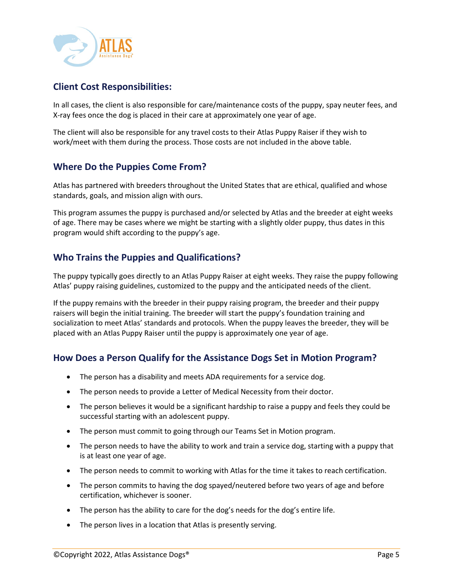

# <span id="page-5-0"></span>**Client Cost Responsibilities:**

In all cases, the client is also responsible for care/maintenance costs of the puppy, spay neuter fees, and X-ray fees once the dog is placed in their care at approximately one year of age.

The client will also be responsible for any travel costs to their Atlas Puppy Raiser if they wish to work/meet with them during the process. Those costs are not included in the above table.

### <span id="page-5-1"></span>**Where Do the Puppies Come From?**

Atlas has partnered with breeders throughout the United States that are ethical, qualified and whose standards, goals, and mission align with ours.

This program assumes the puppy is purchased and/or selected by Atlas and the breeder at eight weeks of age. There may be cases where we might be starting with a slightly older puppy, thus dates in this program would shift according to the puppy's age.

### <span id="page-5-2"></span>**Who Trains the Puppies and Qualifications?**

The puppy typically goes directly to an Atlas Puppy Raiser at eight weeks. They raise the puppy following Atlas' puppy raising guidelines, customized to the puppy and the anticipated needs of the client.

If the puppy remains with the breeder in their puppy raising program, the breeder and their puppy raisers will begin the initial training. The breeder will start the puppy's foundation training and socialization to meet Atlas' standards and protocols. When the puppy leaves the breeder, they will be placed with an Atlas Puppy Raiser until the puppy is approximately one year of age.

### <span id="page-5-3"></span>**How Does a Person Qualify for the Assistance Dogs Set in Motion Program?**

- The person has a disability and meets ADA requirements for a service dog.
- The person needs to provide a Letter of Medical Necessity from their doctor.
- The person believes it would be a significant hardship to raise a puppy and feels they could be successful starting with an adolescent puppy.
- The person must commit to going through our Teams Set in Motion program.
- The person needs to have the ability to work and train a service dog, starting with a puppy that is at least one year of age.
- The person needs to commit to working with Atlas for the time it takes to reach certification.
- The person commits to having the dog spayed/neutered before two years of age and before certification, whichever is sooner.
- The person has the ability to care for the dog's needs for the dog's entire life.
- The person lives in a location that Atlas is presently serving.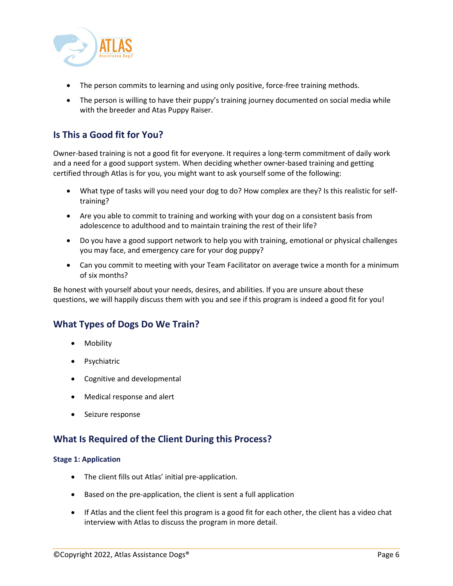

- The person commits to learning and using only positive, force-free training methods.
- The person is willing to have their puppy's training journey documented on social media while with the breeder and Atas Puppy Raiser.

# <span id="page-6-0"></span>**Is This a Good fit for You?**

Owner-based training is not a good fit for everyone. It requires a long-term commitment of daily work and a need for a good support system. When deciding whether owner-based training and getting certified through Atlas is for you, you might want to ask yourself some of the following:

- What type of tasks will you need your dog to do? How complex are they? Is this realistic for selftraining?
- Are you able to commit to training and working with your dog on a consistent basis from adolescence to adulthood and to maintain training the rest of their life?
- Do you have a good support network to help you with training, emotional or physical challenges you may face, and emergency care for your dog puppy?
- Can you commit to meeting with your Team Facilitator on average twice a month for a minimum of six months?

Be honest with yourself about your needs, desires, and abilities. If you are unsure about these questions, we will happily discuss them with you and see if this program is indeed a good fit for you!

### <span id="page-6-1"></span>**What Types of Dogs Do We Train?**

- Mobility
- **Psychiatric**
- Cognitive and developmental
- Medical response and alert
- Seizure response

### <span id="page-6-2"></span>**What Is Required of the Client During this Process?**

#### **Stage 1: Application**

- The client fills out Atlas' initial pre-application.
- Based on the pre-application, the client is sent a full application
- If Atlas and the client feel this program is a good fit for each other, the client has a video chat interview with Atlas to discuss the program in more detail.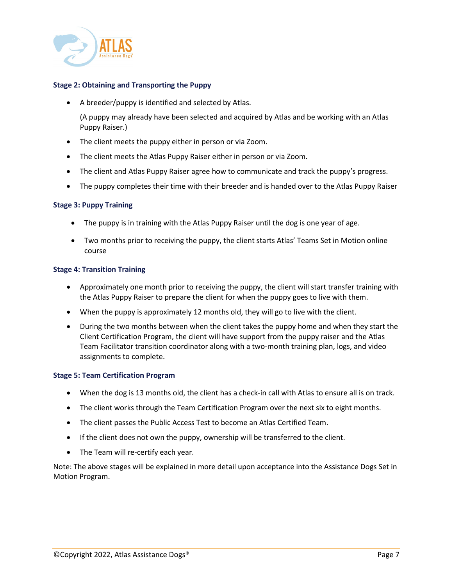

### **Stage 2: Obtaining and Transporting the Puppy**

• A breeder/puppy is identified and selected by Atlas.

(A puppy may already have been selected and acquired by Atlas and be working with an Atlas Puppy Raiser.)

- The client meets the puppy either in person or via Zoom.
- The client meets the Atlas Puppy Raiser either in person or via Zoom.
- The client and Atlas Puppy Raiser agree how to communicate and track the puppy's progress.
- The puppy completes their time with their breeder and is handed over to the Atlas Puppy Raiser

#### **Stage 3: Puppy Training**

- The puppy is in training with the Atlas Puppy Raiser until the dog is one year of age.
- Two months prior to receiving the puppy, the client starts Atlas' Teams Set in Motion online course

#### **Stage 4: Transition Training**

- Approximately one month prior to receiving the puppy, the client will start transfer training with the Atlas Puppy Raiser to prepare the client for when the puppy goes to live with them.
- When the puppy is approximately 12 months old, they will go to live with the client.
- During the two months between when the client takes the puppy home and when they start the Client Certification Program, the client will have support from the puppy raiser and the Atlas Team Facilitator transition coordinator along with a two-month training plan, logs, and video assignments to complete.

#### **Stage 5: Team Certification Program**

- When the dog is 13 months old, the client has a check-in call with Atlas to ensure all is on track.
- The client works through the Team Certification Program over the next six to eight months.
- The client passes the Public Access Test to become an Atlas Certified Team.
- If the client does not own the puppy, ownership will be transferred to the client.
- The Team will re-certify each year.

<span id="page-7-0"></span>Note: The above stages will be explained in more detail upon acceptance into the Assistance Dogs Set in Motion Program.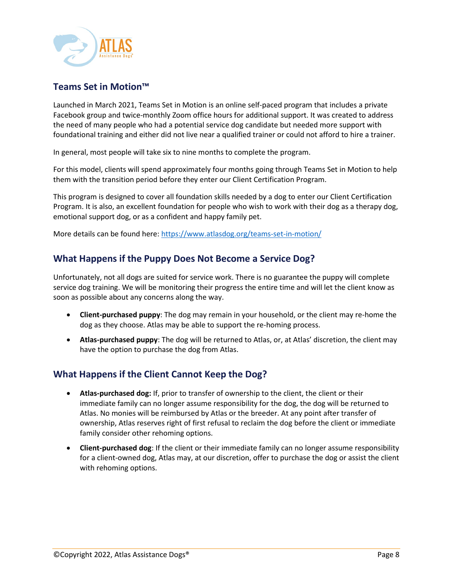

# **Teams Set in Motion™**

Launched in March 2021, Teams Set in Motion is an online self-paced program that includes a private Facebook group and twice-monthly Zoom office hours for additional support. It was created to address the need of many people who had a potential service dog candidate but needed more support with foundational training and either did not live near a qualified trainer or could not afford to hire a trainer.

In general, most people will take six to nine months to complete the program.

For this model, clients will spend approximately four months going through Teams Set in Motion to help them with the transition period before they enter our Client Certification Program.

This program is designed to cover all foundation skills needed by a dog to enter our Client Certification Program. It is also, an excellent foundation for people who wish to work with their dog as a therapy dog, emotional support dog, or as a confident and happy family pet.

More details can be found here:<https://www.atlasdog.org/teams-set-in-motion/>

### <span id="page-8-0"></span>**What Happens if the Puppy Does Not Become a Service Dog?**

Unfortunately, not all dogs are suited for service work. There is no guarantee the puppy will complete service dog training. We will be monitoring their progress the entire time and will let the client know as soon as possible about any concerns along the way.

- **Client-purchased puppy**: The dog may remain in your household, or the client may re-home the dog as they choose. Atlas may be able to support the re-homing process.
- **Atlas-purchased puppy**: The dog will be returned to Atlas, or, at Atlas' discretion, the client may have the option to purchase the dog from Atlas.

### <span id="page-8-1"></span>**What Happens if the Client Cannot Keep the Dog?**

- **Atlas-purchased dog:** If, prior to transfer of ownership to the client, the client or their immediate family can no longer assume responsibility for the dog, the dog will be returned to Atlas. No monies will be reimbursed by Atlas or the breeder. At any point after transfer of ownership, Atlas reserves right of first refusal to reclaim the dog before the client or immediate family consider other rehoming options.
- **Client-purchased dog**: If the client or their immediate family can no longer assume responsibility for a client-owned dog, Atlas may, at our discretion, offer to purchase the dog or assist the client with rehoming options.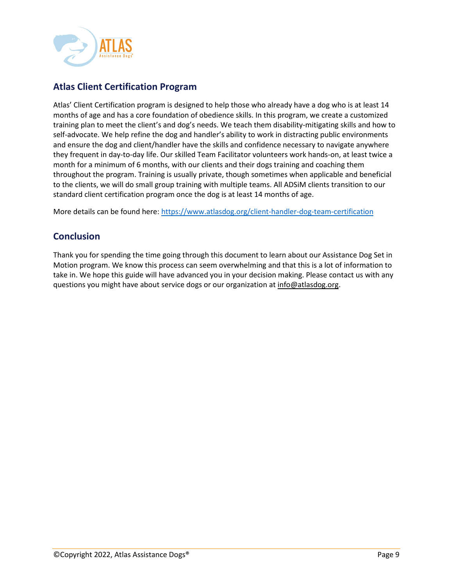

# <span id="page-9-0"></span>**Atlas Client Certification Program**

Atlas' Client Certification program is designed to help those who already have a dog who is at least 14 months of age and has a core foundation of obedience skills. In this program, we create a customized training plan to meet the client's and dog's needs. We teach them disability-mitigating skills and how to self-advocate. We help refine the dog and handler's ability to work in distracting public environments and ensure the dog and client/handler have the skills and confidence necessary to navigate anywhere they frequent in day-to-day life. Our skilled Team Facilitator volunteers work hands-on, at least twice a month for a minimum of 6 months, with our clients and their dogs training and coaching them throughout the program. Training is usually private, though sometimes when applicable and beneficial to the clients, we will do small group training with multiple teams. All ADSiM clients transition to our standard client certification program once the dog is at least 14 months of age.

More details can be found here:<https://www.atlasdog.org/client-handler-dog-team-certification>

### <span id="page-9-1"></span>**Conclusion**

Thank you for spending the time going through this document to learn about our Assistance Dog Set in Motion program. We know this process can seem overwhelming and that this is a lot of information to take in. We hope this guide will have advanced you in your decision making. Please contact us with any questions you might have about service dogs or our organization at info@atlasdog.org.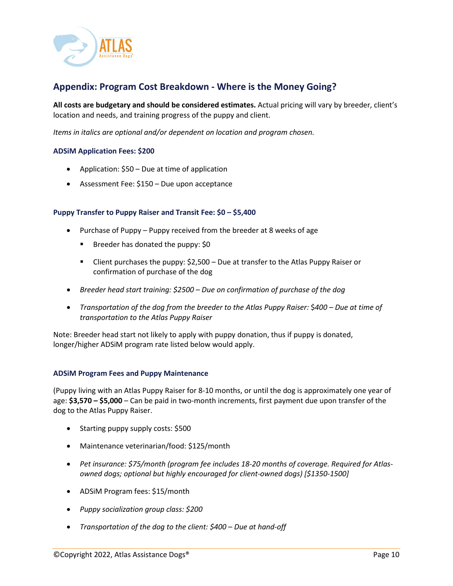

### <span id="page-10-0"></span>**Appendix: Program Cost Breakdown - Where is the Money Going?**

**All costs are budgetary and should be considered estimates.** Actual pricing will vary by breeder, client's location and needs, and training progress of the puppy and client.

*Items in italics are optional and/or dependent on location and program chosen.*

### **ADSiM Application Fees: \$200**

- Application: \$50 Due at time of application
- Assessment Fee: \$150 Due upon acceptance

#### **Puppy Transfer to Puppy Raiser and Transit Fee: \$0 – \$5,400**

- Purchase of Puppy Puppy received from the breeder at 8 weeks of age
	- Breeder has donated the puppy: \$0
	- Client purchases the puppy: \$2,500 Due at transfer to the Atlas Puppy Raiser or confirmation of purchase of the dog
- *Breeder head start training: \$2500 – Due on confirmation of purchase of the dog*
- *Transportation of the dog from the breeder to the Atlas Puppy Raiser:* \$*400 – Due at time of transportation to the Atlas Puppy Raiser*

Note: Breeder head start not likely to apply with puppy donation, thus if puppy is donated, longer/higher ADSiM program rate listed below would apply.

#### **ADSiM Program Fees and Puppy Maintenance**

(Puppy living with an Atlas Puppy Raiser for 8-10 months, or until the dog is approximately one year of age: **\$3,570 – \$5,000** – Can be paid in two-month increments, first payment due upon transfer of the dog to the Atlas Puppy Raiser.

- Starting puppy supply costs: \$500
- Maintenance veterinarian/food: \$125/month
- *Pet insurance: \$75/month (program fee includes 18-20 months of coverage. Required for Atlasowned dogs; optional but highly encouraged for client-owned dogs) [\$1350-1500]*
- ADSiM Program fees: \$15/month
- *Puppy socialization group class: \$200*
- *Transportation of the dog to the client: \$400 – Due at hand-off*